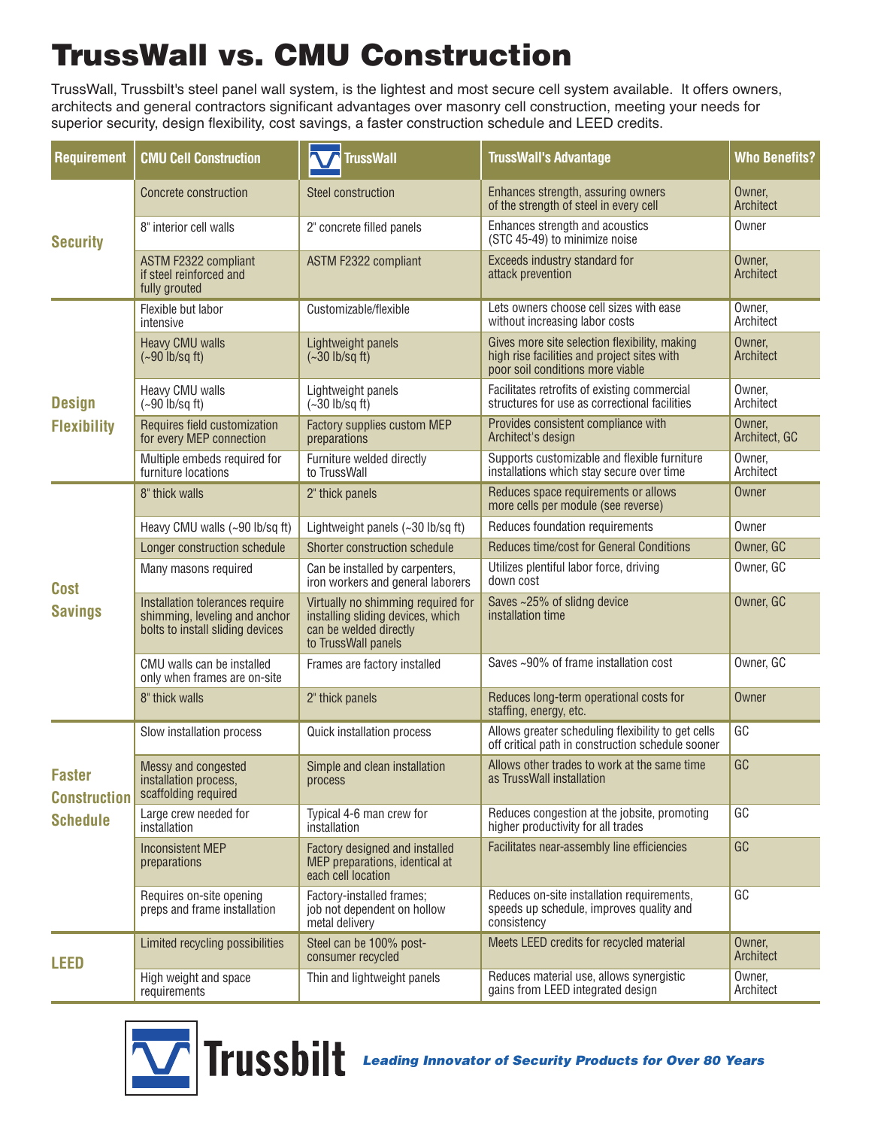## **TrussWall vs. CMU Construction**

TrussWall, Trussbilt's steel panel wall system, is the lightest and most secure cell system available. It offers owners, architects and general contractors significant advantages over masonry cell construction, meeting your needs for superior security, design flexibility, cost savings, a faster construction schedule and LEED credits.

| <b>Requirement</b>                                      | <b>CMU Cell Construction</b>                                                                         | <b>TrussWall</b>                                                                                                         | <b>TrussWall's Advantage</b>                                                                                                     | <b>Who Benefits?</b>    |
|---------------------------------------------------------|------------------------------------------------------------------------------------------------------|--------------------------------------------------------------------------------------------------------------------------|----------------------------------------------------------------------------------------------------------------------------------|-------------------------|
| <b>Security</b>                                         | Concrete construction                                                                                | Steel construction                                                                                                       | Enhances strength, assuring owners<br>of the strength of steel in every cell                                                     | Owner,<br>Architect     |
|                                                         | 8" interior cell walls                                                                               | 2" concrete filled panels                                                                                                | Enhances strength and acoustics<br>(STC 45-49) to minimize noise                                                                 | Owner                   |
|                                                         | <b>ASTM F2322 compliant</b><br>if steel reinforced and<br>fully grouted                              | ASTM F2322 compliant                                                                                                     | Exceeds industry standard for<br>attack prevention                                                                               | Owner,<br>Architect     |
| <b>Design</b><br><b>Flexibility</b>                     | Flexible but labor<br>intensive                                                                      | Customizable/flexible                                                                                                    | Lets owners choose cell sizes with ease<br>without increasing labor costs                                                        | Owner,<br>Architect     |
|                                                         | <b>Heavy CMU walls</b><br>$(-90 \text{ lb/sq ft})$                                                   | Lightweight panels<br>$(-30 \text{ lb/sq ft})$                                                                           | Gives more site selection flexibility, making<br>high rise facilities and project sites with<br>poor soil conditions more viable | Owner,<br>Architect     |
|                                                         | Heavy CMU walls<br>$(-90$ lb/sq ft)                                                                  | Lightweight panels<br>$(-30 \text{ lb/sq ft})$                                                                           | Facilitates retrofits of existing commercial<br>structures for use as correctional facilities                                    | Owner,<br>Architect     |
|                                                         | Requires field customization<br>for every MEP connection                                             | Factory supplies custom MEP<br>preparations                                                                              | Provides consistent compliance with<br>Architect's design                                                                        | Owner,<br>Architect, GC |
|                                                         | Multiple embeds required for<br>furniture locations                                                  | Furniture welded directly<br>to TrussWall                                                                                | Supports customizable and flexible furniture<br>installations which stay secure over time                                        | Owner,<br>Architect     |
| <b>Cost</b><br><b>Savings</b>                           | 8" thick walls                                                                                       | 2" thick panels                                                                                                          | Reduces space requirements or allows<br>more cells per module (see reverse)                                                      | Owner                   |
|                                                         | Heavy CMU walls (~90 lb/sq ft)                                                                       | Lightweight panels $(-30 \text{ lb/sq ft})$                                                                              | Reduces foundation requirements                                                                                                  | Owner                   |
|                                                         | Longer construction schedule                                                                         | Shorter construction schedule                                                                                            | Reduces time/cost for General Conditions                                                                                         | Owner, GC               |
|                                                         | Many masons required                                                                                 | Can be installed by carpenters,<br>iron workers and general laborers                                                     | Utilizes plentiful labor force, driving<br>down cost                                                                             | Owner, GC               |
|                                                         | Installation tolerances require<br>shimming, leveling and anchor<br>bolts to install sliding devices | Virtually no shimming required for<br>installing sliding devices, which<br>can be welded directly<br>to TrussWall panels | Saves ~25% of slidng device<br>installation time                                                                                 | Owner, GC               |
|                                                         | CMU walls can be installed<br>only when frames are on-site                                           | Frames are factory installed                                                                                             | Saves ~90% of frame installation cost                                                                                            | Owner, GC               |
|                                                         | 8" thick walls                                                                                       | 2" thick panels                                                                                                          | Reduces long-term operational costs for<br>staffing, energy, etc.                                                                | Owner                   |
| <b>Faster</b><br><b>Construction</b><br><b>Schedule</b> | Slow installation process                                                                            | Quick installation process                                                                                               | Allows greater scheduling flexibility to get cells<br>off critical path in construction schedule sooner                          | GC                      |
|                                                         | Messy and congested<br>installation process,<br>scaffolding required                                 | Simple and clean installation<br>process                                                                                 | Allows other trades to work at the same time<br>as TrussWall installation                                                        | GC                      |
|                                                         | Large crew needed for<br>installation                                                                | Typical 4-6 man crew for<br>installation                                                                                 | Reduces congestion at the jobsite, promoting<br>higher productivity for all trades                                               | GC                      |
|                                                         | <b>Inconsistent MEP</b><br>preparations                                                              | Factory designed and installed<br>MEP preparations, identical at<br>each cell location                                   | Facilitates near-assembly line efficiencies                                                                                      | GC                      |
|                                                         | Requires on-site opening<br>preps and frame installation                                             | Factory-installed frames;<br>job not dependent on hollow<br>metal delivery                                               | Reduces on-site installation requirements,<br>speeds up schedule, improves quality and<br>consistency                            | GC                      |
| LEED                                                    | Limited recycling possibilities                                                                      | Steel can be 100% post-<br>consumer recycled                                                                             | Meets LEED credits for recycled material                                                                                         | Owner,<br>Architect     |
|                                                         | High weight and space<br>requirements                                                                | Thin and lightweight panels                                                                                              | Reduces material use, allows synergistic<br>gains from LEED integrated design                                                    | Owner,<br>Architect     |